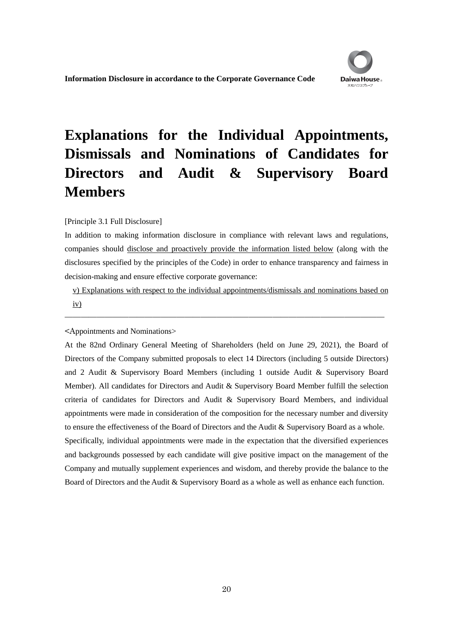# **Explanations for the Individual Appointments, Dismissals and Nominations of Candidates for Directors and Audit & Supervisory Board Members**

#### [Principle 3.1 Full Disclosure]

In addition to making information disclosure in compliance with relevant laws and regulations, companies should disclose and proactively provide the information listed below (along with the disclosures specified by the principles of the Code) in order to enhance transparency and fairness in decision-making and ensure effective corporate governance:

v) Explanations with respect to the individual appointments/dismissals and nominations based on iv)

――――――――――――――――――――――――――――――――――――――――

<Appointments and Nominations>

At the 82nd Ordinary General Meeting of Shareholders (held on June 29, 2021), the Board of Directors of the Company submitted proposals to elect 14 Directors (including 5 outside Directors) and 2 Audit & Supervisory Board Members (including 1 outside Audit & Supervisory Board Member). All candidates for Directors and Audit & Supervisory Board Member fulfill the selection criteria of candidates for Directors and Audit & Supervisory Board Members, and individual appointments were made in consideration of the composition for the necessary number and diversity to ensure the effectiveness of the Board of Directors and the Audit & Supervisory Board as a whole. Specifically, individual appointments were made in the expectation that the diversified experiences and backgrounds possessed by each candidate will give positive impact on the management of the Company and mutually supplement experiences and wisdom, and thereby provide the balance to the Board of Directors and the Audit & Supervisory Board as a whole as well as enhance each function.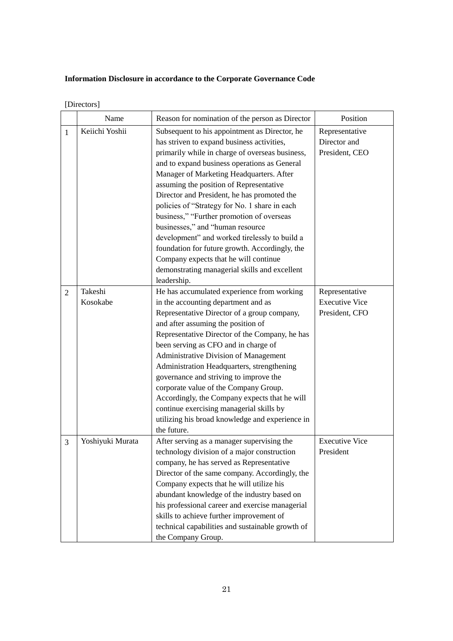| [Directors] |
|-------------|
|-------------|

|                | Name                | Reason for nomination of the person as Director                                                                                                                                                                                                                                                                                                                                                                                                                                                                                                                                                                                                                                    | Position                                                  |
|----------------|---------------------|------------------------------------------------------------------------------------------------------------------------------------------------------------------------------------------------------------------------------------------------------------------------------------------------------------------------------------------------------------------------------------------------------------------------------------------------------------------------------------------------------------------------------------------------------------------------------------------------------------------------------------------------------------------------------------|-----------------------------------------------------------|
| $\mathbf{1}$   | Keiichi Yoshii      | Subsequent to his appointment as Director, he<br>has striven to expand business activities,<br>primarily while in charge of overseas business,<br>and to expand business operations as General<br>Manager of Marketing Headquarters. After<br>assuming the position of Representative<br>Director and President, he has promoted the<br>policies of "Strategy for No. 1 share in each<br>business," "Further promotion of overseas<br>businesses," and "human resource<br>development" and worked tirelessly to build a<br>foundation for future growth. Accordingly, the<br>Company expects that he will continue<br>demonstrating managerial skills and excellent<br>leadership. | Representative<br>Director and<br>President, CEO          |
| $\overline{2}$ | Takeshi<br>Kosokabe | He has accumulated experience from working<br>in the accounting department and as<br>Representative Director of a group company,<br>and after assuming the position of<br>Representative Director of the Company, he has<br>been serving as CFO and in charge of<br>Administrative Division of Management<br>Administration Headquarters, strengthening<br>governance and striving to improve the<br>corporate value of the Company Group.<br>Accordingly, the Company expects that he will<br>continue exercising managerial skills by<br>utilizing his broad knowledge and experience in<br>the future.                                                                          | Representative<br><b>Executive Vice</b><br>President, CFO |
| 3              | Yoshiyuki Murata    | After serving as a manager supervising the<br>technology division of a major construction<br>company, he has served as Representative<br>Director of the same company. Accordingly, the<br>Company expects that he will utilize his<br>abundant knowledge of the industry based on<br>his professional career and exercise managerial<br>skills to achieve further improvement of<br>technical capabilities and sustainable growth of<br>the Company Group.                                                                                                                                                                                                                        | <b>Executive Vice</b><br>President                        |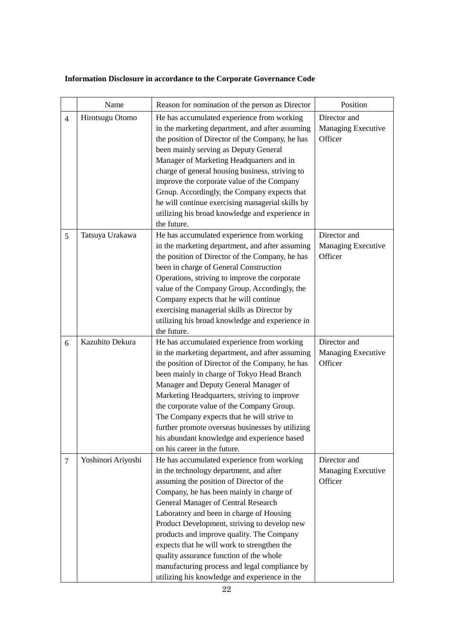|                | Name               | Reason for nomination of the person as Director                                                                                                                                                                                                                                                                                                                                                                                                                                                                                                           | Position                                             |
|----------------|--------------------|-----------------------------------------------------------------------------------------------------------------------------------------------------------------------------------------------------------------------------------------------------------------------------------------------------------------------------------------------------------------------------------------------------------------------------------------------------------------------------------------------------------------------------------------------------------|------------------------------------------------------|
| $\overline{4}$ | Hirotsugu Otomo    | He has accumulated experience from working<br>in the marketing department, and after assuming<br>the position of Director of the Company, he has<br>been mainly serving as Deputy General<br>Manager of Marketing Headquarters and in<br>charge of general housing business, striving to<br>improve the corporate value of the Company<br>Group. Accordingly, the Company expects that<br>he will continue exercising managerial skills by<br>utilizing his broad knowledge and experience in<br>the future.                                              | Director and<br><b>Managing Executive</b><br>Officer |
| 5              | Tatsuya Urakawa    | He has accumulated experience from working<br>in the marketing department, and after assuming<br>the position of Director of the Company, he has<br>been in charge of General Construction<br>Operations, striving to improve the corporate<br>value of the Company Group. Accordingly, the<br>Company expects that he will continue<br>exercising managerial skills as Director by<br>utilizing his broad knowledge and experience in<br>the future.                                                                                                     | Director and<br>Managing Executive<br>Officer        |
| 6              | Kazuhito Dekura    | He has accumulated experience from working<br>in the marketing department, and after assuming<br>the position of Director of the Company, he has<br>been mainly in charge of Tokyo Head Branch<br>Manager and Deputy General Manager of<br>Marketing Headquarters, striving to improve<br>the corporate value of the Company Group.<br>The Company expects that he will strive to<br>further promote overseas businesses by utilizing<br>his abundant knowledge and experience based<br>on his career in the future.                                      | Director and<br>Managing Executive<br>Officer        |
| $\overline{7}$ | Yoshinori Ariyoshi | He has accumulated experience from working<br>in the technology department, and after<br>assuming the position of Director of the<br>Company, he has been mainly in charge of<br>General Manager of Central Research<br>Laboratory and been in charge of Housing<br>Product Development, striving to develop new<br>products and improve quality. The Company<br>expects that he will work to strengthen the<br>quality assurance function of the whole<br>manufacturing process and legal compliance by<br>utilizing his knowledge and experience in the | Director and<br><b>Managing Executive</b><br>Officer |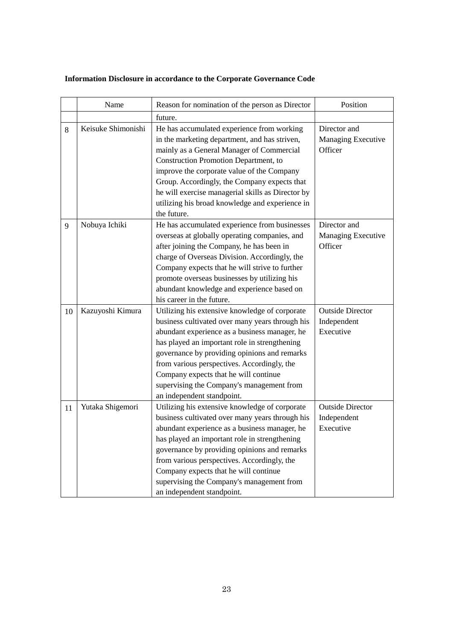| Information Disclosure in accordance to the Corporate Governance Code |
|-----------------------------------------------------------------------|
|-----------------------------------------------------------------------|

|    | Name               | Reason for nomination of the person as Director                                                                                                                                                                                                                                                                                                                                                                        | Position                                            |
|----|--------------------|------------------------------------------------------------------------------------------------------------------------------------------------------------------------------------------------------------------------------------------------------------------------------------------------------------------------------------------------------------------------------------------------------------------------|-----------------------------------------------------|
|    |                    | future.                                                                                                                                                                                                                                                                                                                                                                                                                |                                                     |
| 8  | Keisuke Shimonishi | He has accumulated experience from working<br>in the marketing department, and has striven,<br>mainly as a General Manager of Commercial<br>Construction Promotion Department, to<br>improve the corporate value of the Company<br>Group. Accordingly, the Company expects that<br>he will exercise managerial skills as Director by<br>utilizing his broad knowledge and experience in<br>the future.                 | Director and<br>Managing Executive<br>Officer       |
| 9  | Nobuya Ichiki      | He has accumulated experience from businesses<br>overseas at globally operating companies, and<br>after joining the Company, he has been in<br>charge of Overseas Division. Accordingly, the<br>Company expects that he will strive to further<br>promote overseas businesses by utilizing his<br>abundant knowledge and experience based on<br>his career in the future.                                              | Director and<br>Managing Executive<br>Officer       |
| 10 | Kazuyoshi Kimura   | Utilizing his extensive knowledge of corporate<br>business cultivated over many years through his<br>abundant experience as a business manager, he<br>has played an important role in strengthening<br>governance by providing opinions and remarks<br>from various perspectives. Accordingly, the<br>Company expects that he will continue<br>supervising the Company's management from<br>an independent standpoint. | <b>Outside Director</b><br>Independent<br>Executive |
| 11 | Yutaka Shigemori   | Utilizing his extensive knowledge of corporate<br>business cultivated over many years through his<br>abundant experience as a business manager, he<br>has played an important role in strengthening<br>governance by providing opinions and remarks<br>from various perspectives. Accordingly, the<br>Company expects that he will continue<br>supervising the Company's management from<br>an independent standpoint. | <b>Outside Director</b><br>Independent<br>Executive |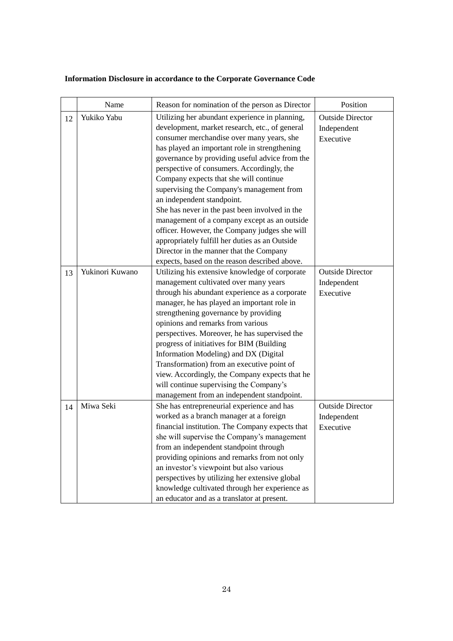|    | Name            | Reason for nomination of the person as Director                                                                                                                                                                                                                                                                                                                                                                                                                                                                                                                                                                                                                                                                      | Position                                            |
|----|-----------------|----------------------------------------------------------------------------------------------------------------------------------------------------------------------------------------------------------------------------------------------------------------------------------------------------------------------------------------------------------------------------------------------------------------------------------------------------------------------------------------------------------------------------------------------------------------------------------------------------------------------------------------------------------------------------------------------------------------------|-----------------------------------------------------|
| 12 | Yukiko Yabu     | Utilizing her abundant experience in planning,<br>development, market research, etc., of general<br>consumer merchandise over many years, she<br>has played an important role in strengthening<br>governance by providing useful advice from the<br>perspective of consumers. Accordingly, the<br>Company expects that she will continue<br>supervising the Company's management from<br>an independent standpoint.<br>She has never in the past been involved in the<br>management of a company except as an outside<br>officer. However, the Company judges she will<br>appropriately fulfill her duties as an Outside<br>Director in the manner that the Company<br>expects, based on the reason described above. | <b>Outside Director</b><br>Independent<br>Executive |
| 13 | Yukinori Kuwano | Utilizing his extensive knowledge of corporate<br>management cultivated over many years<br>through his abundant experience as a corporate<br>manager, he has played an important role in<br>strengthening governance by providing<br>opinions and remarks from various<br>perspectives. Moreover, he has supervised the<br>progress of initiatives for BIM (Building<br>Information Modeling) and DX (Digital<br>Transformation) from an executive point of<br>view. Accordingly, the Company expects that he<br>will continue supervising the Company's<br>management from an independent standpoint.                                                                                                               | <b>Outside Director</b><br>Independent<br>Executive |
| 14 | Miwa Seki       | She has entrepreneurial experience and has<br>worked as a branch manager at a foreign<br>financial institution. The Company expects that<br>she will supervise the Company's management<br>from an independent standpoint through<br>providing opinions and remarks from not only<br>an investor's viewpoint but also various<br>perspectives by utilizing her extensive global<br>knowledge cultivated through her experience as<br>an educator and as a translator at present.                                                                                                                                                                                                                                     | <b>Outside Director</b><br>Independent<br>Executive |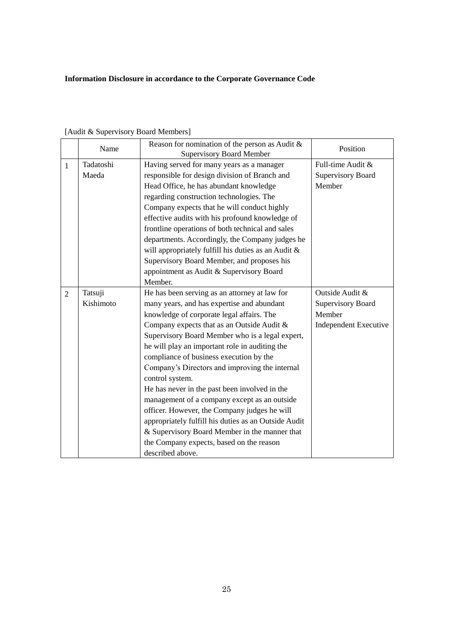|                | Name      | Reason for nomination of the person as Audit $\&$<br><b>Supervisory Board Member</b> | Position                     |
|----------------|-----------|--------------------------------------------------------------------------------------|------------------------------|
| $\mathbf{1}$   | Tadatoshi | Having served for many years as a manager                                            | Full-time Audit &            |
|                | Maeda     | responsible for design division of Branch and                                        | <b>Supervisory Board</b>     |
|                |           | Head Office, he has abundant knowledge                                               | Member                       |
|                |           | regarding construction technologies. The                                             |                              |
|                |           | Company expects that he will conduct highly                                          |                              |
|                |           | effective audits with his profound knowledge of                                      |                              |
|                |           | frontline operations of both technical and sales                                     |                              |
|                |           | departments. Accordingly, the Company judges he                                      |                              |
|                |           | will appropriately fulfill his duties as an Audit &                                  |                              |
|                |           | Supervisory Board Member, and proposes his                                           |                              |
|                |           | appointment as Audit & Supervisory Board                                             |                              |
|                |           | Member.                                                                              |                              |
| $\overline{2}$ | Tatsuji   | He has been serving as an attorney at law for                                        | Outside Audit &              |
|                | Kishimoto | many years, and has expertise and abundant                                           | <b>Supervisory Board</b>     |
|                |           | knowledge of corporate legal affairs. The                                            | Member                       |
|                |           | Company expects that as an Outside Audit &                                           | <b>Independent Executive</b> |
|                |           | Supervisory Board Member who is a legal expert,                                      |                              |
|                |           | he will play an important role in auditing the                                       |                              |
|                |           | compliance of business execution by the                                              |                              |
|                |           | Company's Directors and improving the internal                                       |                              |
|                |           | control system.                                                                      |                              |
|                |           | He has never in the past been involved in the                                        |                              |
|                |           | management of a company except as an outside                                         |                              |
|                |           | officer. However, the Company judges he will                                         |                              |
|                |           | appropriately fulfill his duties as an Outside Audit                                 |                              |
|                |           | & Supervisory Board Member in the manner that                                        |                              |
|                |           | the Company expects, based on the reason                                             |                              |
|                |           | described above.                                                                     |                              |

[Audit & Supervisory Board Members]